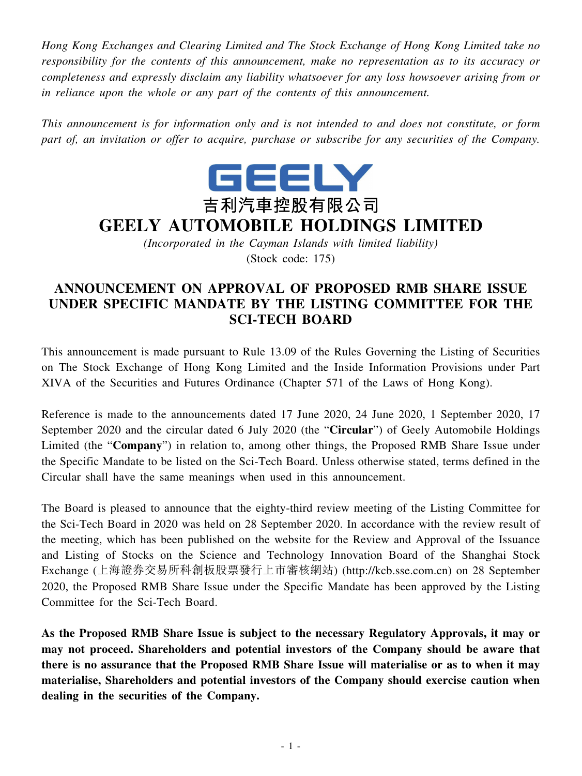*Hong Kong Exchanges and Clearing Limited and The Stock Exchange of Hong Kong Limited take no responsibility for the contents of this announcement, make no representation as to its accuracy or completeness and expressly disclaim any liability whatsoever for any loss howsoever arising from or in reliance upon the whole or any part of the contents of this announcement.*

*This announcement is for information only and is not intended to and does not constitute, or form part of, an invitation or offer to acquire, purchase or subscribe for any securities of the Company.*



## **GEELY AUTOMOBILE HOLDINGS LIMITED**

*(Incorporated in the Cayman Islands with limited liability)* (Stock code: 175)

## **ANNOUNCEMENT ON APPROVAL OF PROPOSED RMB SHARE ISSUE UNDER SPECIFIC MANDATE BY THE LISTING COMMITTEE FOR THE SCI-TECH BOARD**

This announcement is made pursuant to Rule 13.09 of the Rules Governing the Listing of Securities on The Stock Exchange of Hong Kong Limited and the Inside Information Provisions under Part XIVA of the Securities and Futures Ordinance (Chapter 571 of the Laws of Hong Kong).

Reference is made to the announcements dated 17 June 2020, 24 June 2020, 1 September 2020, 17 September 2020 and the circular dated 6 July 2020 (the "**Circular**") of Geely Automobile Holdings Limited (the "**Company**") in relation to, among other things, the Proposed RMB Share Issue under the Specific Mandate to be listed on the Sci-Tech Board. Unless otherwise stated, terms defined in the Circular shall have the same meanings when used in this announcement.

The Board is pleased to announce that the eighty-third review meeting of the Listing Committee for the Sci-Tech Board in 2020 was held on 28 September 2020. In accordance with the review result of the meeting, which has been published on the website for the Review and Approval of the Issuance and Listing of Stocks on the Science and Technology Innovation Board of the Shanghai Stock Exchange (上海證券交易所科創板股票發行上市審核網站) (http://kcb.sse.com.cn) on 28 September 2020, the Proposed RMB Share Issue under the Specific Mandate has been approved by the Listing Committee for the Sci-Tech Board.

**As the Proposed RMB Share Issue is subject to the necessary Regulatory Approvals, it may or may not proceed. Shareholders and potential investors of the Company should be aware that there is no assurance that the Proposed RMB Share Issue will materialise or as to when it may materialise, Shareholders and potential investors of the Company should exercise caution when dealing in the securities of the Company.**